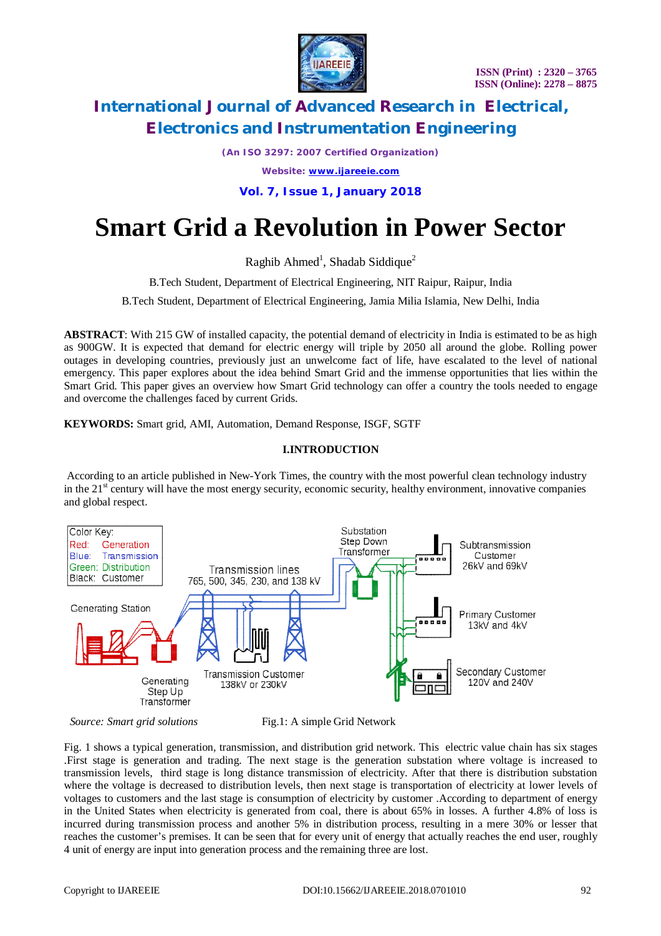

*(An ISO 3297: 2007 Certified Organization)*

*Website: [www.ijareeie.com](http://www.ijareeie.com)*

**Vol. 7, Issue 1, January 2018**

# **Smart Grid a Revolution in Power Sector**

Raghib Ahmed<sup>1</sup>, Shadab Siddique<sup>2</sup>

B.Tech Student, Department of Electrical Engineering, NIT Raipur, Raipur, India

B.Tech Student, Department of Electrical Engineering, Jamia Milia Islamia, New Delhi, India

**ABSTRACT**: With 215 GW of installed capacity, the potential demand of electricity in India is estimated to be as high as 900GW. It is expected that demand for electric energy will triple by 2050 all around the globe. Rolling power outages in developing countries, previously just an unwelcome fact of life, have escalated to the level of national emergency. This paper explores about the idea behind Smart Grid and the immense opportunities that lies within the Smart Grid. This paper gives an overview how Smart Grid technology can offer a country the tools needed to engage and overcome the challenges faced by current Grids.

**KEYWORDS:** Smart grid, AMI, Automation, Demand Response, ISGF, SGTF

### **I.INTRODUCTION**

According to an article published in New-York Times, the country with the most powerful clean technology industry in the 21<sup>st</sup> century will have the most energy security, economic security, healthy environment, innovative companies and global respect.



*Source: Smart grid solutions* Fig.1: A simple Grid Network

Fig. 1 shows a typical generation, transmission, and distribution grid network. This electric value chain has six stages .First stage is generation and trading. The next stage is the generation substation where voltage is increased to transmission levels, third stage is long distance transmission of electricity. After that there is distribution substation where the voltage is decreased to distribution levels, then next stage is transportation of electricity at lower levels of voltages to customers and the last stage is consumption of electricity by customer .According to department of energy in the United States when electricity is generated from coal, there is about 65% in losses. A further 4.8% of loss is incurred during transmission process and another 5% in distribution process, resulting in a mere 30% or lesser that reaches the customer's premises. It can be seen that for every unit of energy that actually reaches the end user, roughly 4 unit of energy are input into generation process and the remaining three are lost.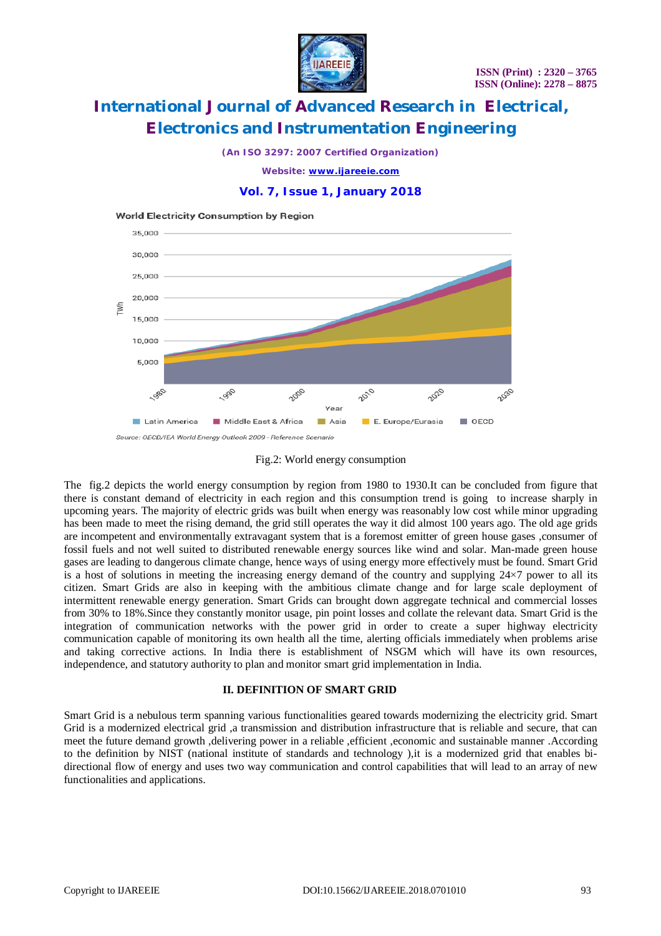

*(An ISO 3297: 2007 Certified Organization)*

*Website: [www.ijareeie.com](http://www.ijareeie.com)*

#### **Vol. 7, Issue 1, January 2018**

#### **World Electricity Consumption by Region**



#### Fig.2: World energy consumption

The fig.2 depicts the world energy consumption by region from 1980 to 1930.It can be concluded from figure that there is constant demand of electricity in each region and this consumption trend is going to increase sharply in upcoming years. The majority of electric grids was built when energy was reasonably low cost while minor upgrading has been made to meet the rising demand, the grid still operates the way it did almost 100 years ago. The old age grids are incompetent and environmentally extravagant system that is a foremost emitter of green house gases ,consumer of fossil fuels and not well suited to distributed renewable energy sources like wind and solar. Man-made green house gases are leading to dangerous climate change, hence ways of using energy more effectively must be found. Smart Grid is a host of solutions in meeting the increasing energy demand of the country and supplying  $24\times7$  power to all its citizen. Smart Grids are also in keeping with the ambitious climate change and for large scale deployment of intermittent renewable energy generation. Smart Grids can brought down aggregate technical and commercial losses from 30% to 18%.Since they constantly monitor usage, pin point losses and collate the relevant data. Smart Grid is the integration of communication networks with the power grid in order to create a super highway electricity communication capable of monitoring its own health all the time, alerting officials immediately when problems arise and taking corrective actions. In India there is establishment of NSGM which will have its own resources, independence, and statutory authority to plan and monitor smart grid implementation in India.

#### **II. DEFINITION OF SMART GRID**

Smart Grid is a nebulous term spanning various functionalities geared towards modernizing the electricity grid. Smart Grid is a modernized electrical grid ,a transmission and distribution infrastructure that is reliable and secure, that can meet the future demand growth ,delivering power in a reliable ,efficient ,economic and sustainable manner .According to the definition by NIST (national institute of standards and technology ),it is a modernized grid that enables bidirectional flow of energy and uses two way communication and control capabilities that will lead to an array of new functionalities and applications.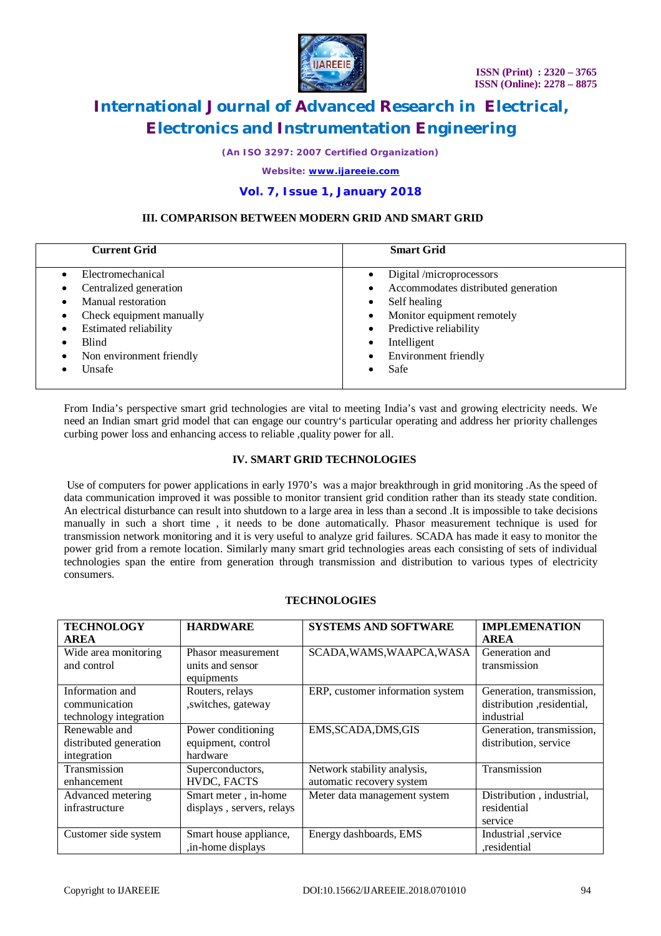

*(An ISO 3297: 2007 Certified Organization)*

*Website: [www.ijareeie.com](http://www.ijareeie.com)*

### **Vol. 7, Issue 1, January 2018**

#### **III. COMPARISON BETWEEN MODERN GRID AND SMART GRID**

| <b>Current Grid</b>                                                                                                                                                | <b>Smart Grid</b>                                                                                                                                                                                                                      |
|--------------------------------------------------------------------------------------------------------------------------------------------------------------------|----------------------------------------------------------------------------------------------------------------------------------------------------------------------------------------------------------------------------------------|
| Electromechanical<br>Centralized generation<br>Manual restoration<br>Check equipment manually<br><b>Estimated reliability</b><br>Blind<br>Non environment friendly | Digital /microprocessors<br>Accommodates distributed generation<br>Self healing<br>$\bullet$<br>Monitor equipment remotely<br>$\bullet$<br>Predictive reliability<br>$\bullet$<br>Intelligent<br>٠<br><b>Environment friendly</b><br>٠ |
| Unsafe                                                                                                                                                             | Safe                                                                                                                                                                                                                                   |

From India's perspective smart grid technologies are vital to meeting India's vast and growing electricity needs. We need an Indian smart grid model that can engage our country's particular operating and address her priority challenges curbing power loss and enhancing access to reliable ,quality power for all.

#### **IV. SMART GRID TECHNOLOGIES**

Use of computers for power applications in early 1970's was a major breakthrough in grid monitoring .As the speed of data communication improved it was possible to monitor transient grid condition rather than its steady state condition. An electrical disturbance can result into shutdown to a large area in less than a second .It is impossible to take decisions manually in such a short time , it needs to be done automatically. Phasor measurement technique is used for transmission network monitoring and it is very useful to analyze grid failures. SCADA has made it easy to monitor the power grid from a remote location. Similarly many smart grid technologies areas each consisting of sets of individual technologies span the entire from generation through transmission and distribution to various types of electricity consumers.

| <b>TECHNOLOGY</b>      | <b>HARDWARE</b>           | <b>SYSTEMS AND SOFTWARE</b>      | <b>IMPLEMENATION</b>      |
|------------------------|---------------------------|----------------------------------|---------------------------|
| <b>AREA</b>            |                           |                                  | <b>AREA</b>               |
| Wide area monitoring   | Phasor measurement        | SCADA, WAMS, WAAPCA, WASA        | Generation and            |
| and control            | units and sensor          |                                  | transmission              |
|                        | equipments                |                                  |                           |
| Information and        | Routers, relays           | ERP, customer information system | Generation, transmission, |
| communication          | , switches, gateway       |                                  | distribution residential. |
| technology integration |                           |                                  | industrial                |
| Renewable and          | Power conditioning        | EMS, SCADA, DMS, GIS             | Generation, transmission, |
| distributed generation | equipment, control        |                                  | distribution, service     |
| integration            | hardware                  |                                  |                           |
| Transmission           | Superconductors,          | Network stability analysis,      | Transmission              |
| enhancement            | HVDC, FACTS               | automatic recovery system        |                           |
| Advanced metering      | Smart meter, in-home      | Meter data management system     | Distribution, industrial, |
| infrastructure         | displays, servers, relays |                                  | residential               |
|                        |                           |                                  | service                   |
| Customer side system   | Smart house appliance,    | Energy dashboards, EMS           | Industrial service        |
|                        | , in-home displays        |                                  | ,residential              |

#### **TECHNOLOGIES**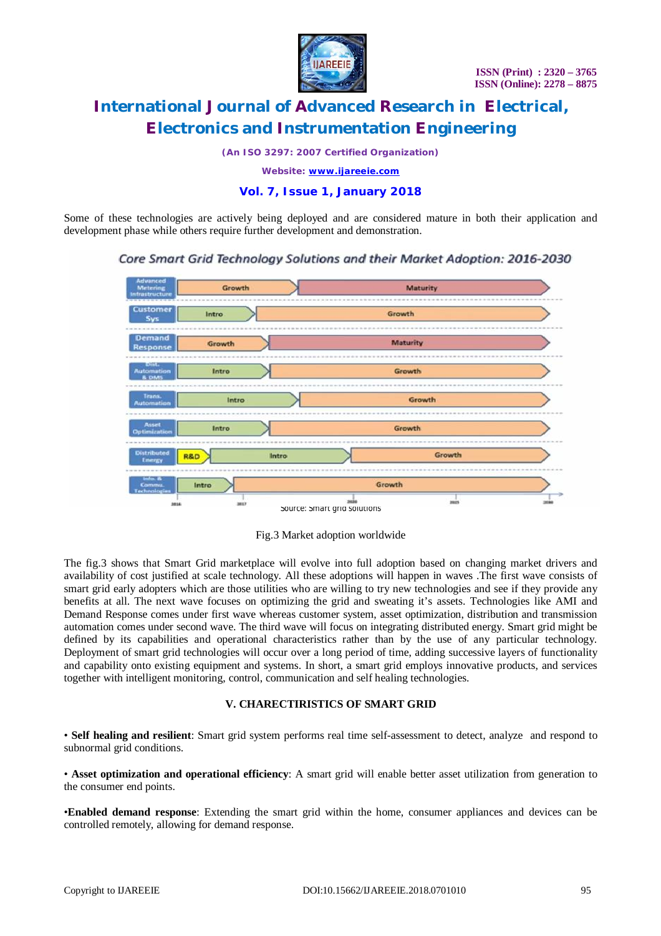

*(An ISO 3297: 2007 Certified Organization)*

*Website: [www.ijareeie.com](http://www.ijareeie.com)*

### **Vol. 7, Issue 1, January 2018**

Some of these technologies are actively being deployed and are considered mature in both their application and development phase while others require further development and demonstration.

Core Smart Grid Technology Solutions and their Market Adoption: 2016-2030



Fig.3 Market adoption worldwide

The fig.3 shows that Smart Grid marketplace will evolve into full adoption based on changing market drivers and availability of cost justified at scale technology. All these adoptions will happen in waves .The first wave consists of smart grid early adopters which are those utilities who are willing to try new technologies and see if they provide any benefits at all. The next wave focuses on optimizing the grid and sweating it's assets. Technologies like AMI and Demand Response comes under first wave whereas customer system, asset optimization, distribution and transmission automation comes under second wave. The third wave will focus on integrating distributed energy. Smart grid might be defined by its capabilities and operational characteristics rather than by the use of any particular technology. Deployment of smart grid technologies will occur over a long period of time, adding successive layers of functionality and capability onto existing equipment and systems. In short, a smart grid employs innovative products, and services together with intelligent monitoring, control, communication and self healing technologies.

### **V. CHARECTIRISTICS OF SMART GRID**

• **Self healing and resilient**: Smart grid system performs real time self-assessment to detect, analyze and respond to subnormal grid conditions.

• **Asset optimization and operational efficiency**: A smart grid will enable better asset utilization from generation to the consumer end points.

•**Enabled demand response**: Extending the smart grid within the home, consumer appliances and devices can be controlled remotely, allowing for demand response.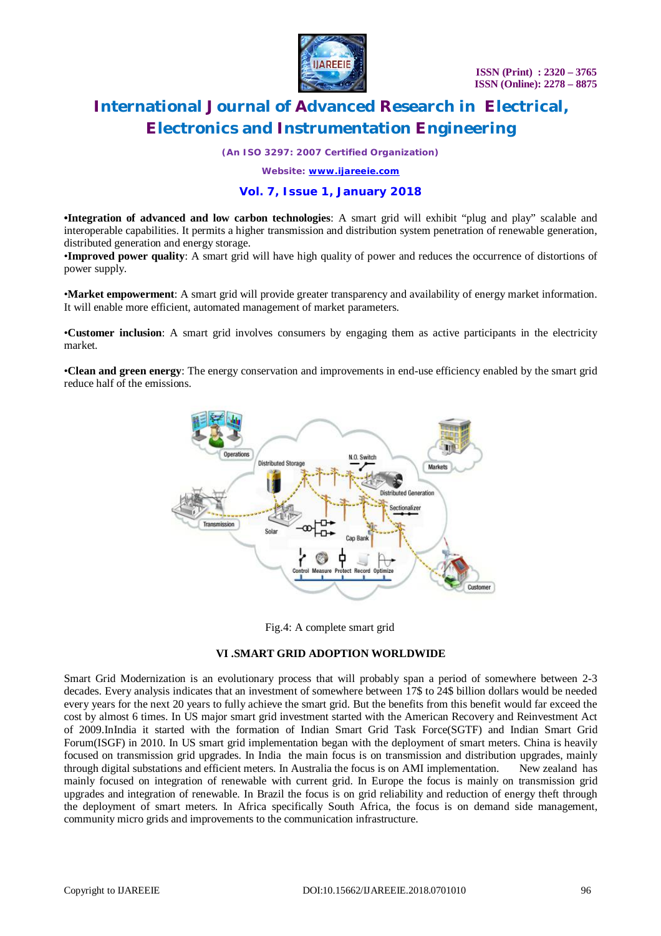

*(An ISO 3297: 2007 Certified Organization)*

*Website: [www.ijareeie.com](http://www.ijareeie.com)*

## **Vol. 7, Issue 1, January 2018**

**•Integration of advanced and low carbon technologies**: A smart grid will exhibit "plug and play" scalable and interoperable capabilities. It permits a higher transmission and distribution system penetration of renewable generation, distributed generation and energy storage.

•**Improved power quality**: A smart grid will have high quality of power and reduces the occurrence of distortions of power supply.

•**Market empowerment**: A smart grid will provide greater transparency and availability of energy market information. It will enable more efficient, automated management of market parameters.

•**Customer inclusion**: A smart grid involves consumers by engaging them as active participants in the electricity market.

•**Clean and green energy**: The energy conservation and improvements in end-use efficiency enabled by the smart grid reduce half of the emissions.



Fig.4: A complete smart grid

### **VI .SMART GRID ADOPTION WORLDWIDE**

Smart Grid Modernization is an evolutionary process that will probably span a period of somewhere between 2-3 decades. Every analysis indicates that an investment of somewhere between 17\$ to 24\$ billion dollars would be needed every years for the next 20 years to fully achieve the smart grid. But the benefits from this benefit would far exceed the cost by almost 6 times. In US major smart grid investment started with the American Recovery and Reinvestment Act of 2009.InIndia it started with the formation of Indian Smart Grid Task Force(SGTF) and Indian Smart Grid Forum(ISGF) in 2010. In US smart grid implementation began with the deployment of smart meters. China is heavily focused on transmission grid upgrades. In India the main focus is on transmission and distribution upgrades, mainly through digital substations and efficient meters. In Australia the focus is on AMI implementation. New zealand has mainly focused on integration of renewable with current grid. In Europe the focus is mainly on transmission grid upgrades and integration of renewable. In Brazil the focus is on grid reliability and reduction of energy theft through the deployment of smart meters. In Africa specifically South Africa, the focus is on demand side management, community micro grids and improvements to the communication infrastructure.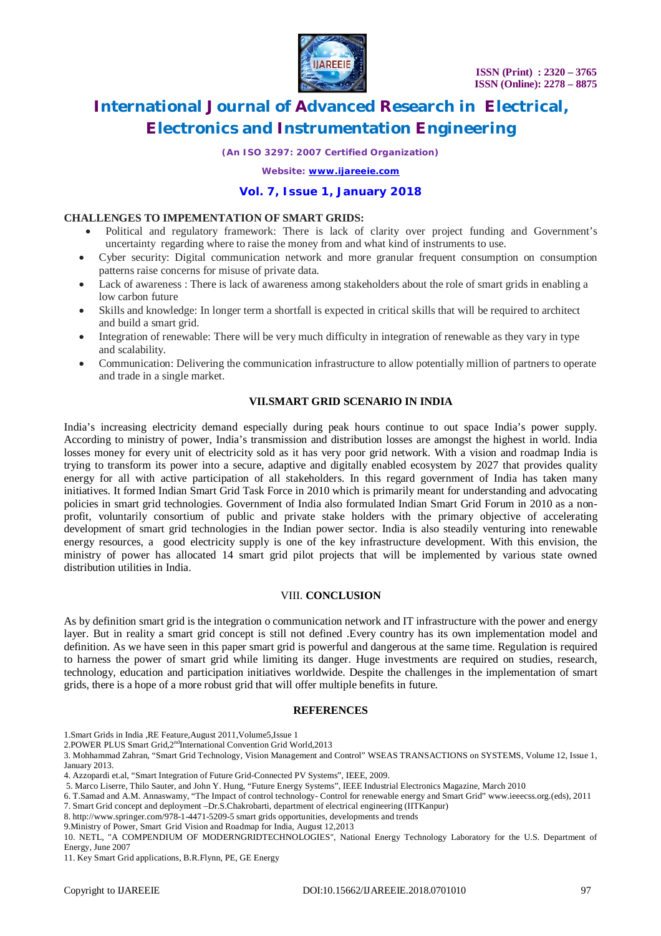

*(An ISO 3297: 2007 Certified Organization)*

*Website: [www.ijareeie.com](http://www.ijareeie.com)*

### **Vol. 7, Issue 1, January 2018**

#### **CHALLENGES TO IMPEMENTATION OF SMART GRIDS:**

- Political and regulatory framework: There is lack of clarity over project funding and Government's uncertainty regarding where to raise the money from and what kind of instruments to use.
- Cyber security: Digital communication network and more granular frequent consumption on consumption patterns raise concerns for misuse of private data.
- Lack of awareness : There is lack of awareness among stakeholders about the role of smart grids in enabling a low carbon future
- Skills and knowledge: In longer term a shortfall is expected in critical skills that will be required to architect and build a smart grid.
- Integration of renewable: There will be very much difficulty in integration of renewable as they vary in type and scalability.
- Communication: Delivering the communication infrastructure to allow potentially million of partners to operate and trade in a single market.

### **VII.SMART GRID SCENARIO IN INDIA**

India's increasing electricity demand especially during peak hours continue to out space India's power supply. According to ministry of power, India's transmission and distribution losses are amongst the highest in world. India losses money for every unit of electricity sold as it has very poor grid network. With a vision and roadmap India is trying to transform its power into a secure, adaptive and digitally enabled ecosystem by 2027 that provides quality energy for all with active participation of all stakeholders. In this regard government of India has taken many initiatives. It formed Indian Smart Grid Task Force in 2010 which is primarily meant for understanding and advocating policies in smart grid technologies. Government of India also formulated Indian Smart Grid Forum in 2010 as a nonprofit, voluntarily consortium of public and private stake holders with the primary objective of accelerating development of smart grid technologies in the Indian power sector. India is also steadily venturing into renewable energy resources, a good electricity supply is one of the key infrastructure development. With this envision, the ministry of power has allocated 14 smart grid pilot projects that will be implemented by various state owned distribution utilities in India.

#### VIII. **CONCLUSION**

As by definition smart grid is the integration o communication network and IT infrastructure with the power and energy layer. But in reality a smart grid concept is still not defined .Every country has its own implementation model and definition. As we have seen in this paper smart grid is powerful and dangerous at the same time. Regulation is required to harness the power of smart grid while limiting its danger. Huge investments are required on studies, research, technology, education and participation initiatives worldwide. Despite the challenges in the implementation of smart grids, there is a hope of a more robust grid that will offer multiple benefits in future.

#### **REFERENCES**

1.Smart Grids in India ,RE Feature,August 2011,Volume5,Issue 1

- 2.POWER PLUS Smart Grid,2<sup>nd</sup>International Convention Grid World,2013
- 3. Mohhammad Zahran, "Smart Grid Technology, Vision Management and Control" WSEAS TRANSACTIONS on SYSTEMS, Volume 12, Issue 1, January 2013.
- 4. Azzopardi et.al, "Smart Integration of Future Grid-Connected PV Systems", IEEE, 2009.
- 5. Marco Liserre, Thilo Sauter, and John Y. Hung, "Future Energy Systems", IEEE Industrial Electronics Magazine, March 2010
- 6. T.Samad and A.M. Annaswamy, "The Impact of control technology- Control for renewable energy and Smart Grid" [www.ieeecss.org.\(eds\),](http://www.ieeecss.org.(eds),) 2011
- 7. Smart Grid concept and deployment –Dr.S.Chakrobarti, department of electrical engineering (IITKanpur)
- 8. <http://www.springer.com/978-1-4471-5209-5>smart grids opportunities, developments and trends
- 9.Ministry of Power, Smart Grid Vision and Roadmap for India, August 12,2013

10. NETL, "A COMPENDIUM OF MODERNGRIDTECHNOLOGIES", National Energy Technology Laboratory for the U.S. Department of Energy, June 2007

<sup>11.</sup> Key Smart Grid applications, B.R.Flynn, PE, GE Energy